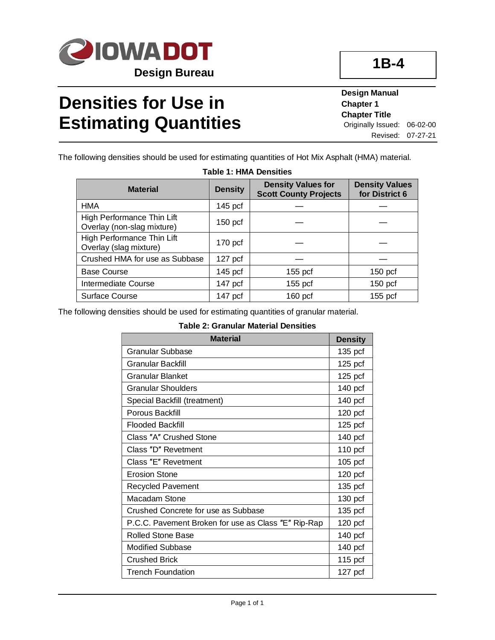

## **Densities for Use in Estimating Quantities**

**Design Manual Chapter 1 Chapter Title** Originally Issued: 06-02-00 Revised: 07-27-21

The following densities should be used for estimating quantities of Hot Mix Asphalt (HMA) material.

**Table 1: HMA Densities**

| <b>Material</b>                                          | <b>Density</b>     | <b>Density Values for</b><br><b>Scott County Projects</b> | <b>Density Values</b><br>for District 6 |  |
|----------------------------------------------------------|--------------------|-----------------------------------------------------------|-----------------------------------------|--|
| HMA                                                      | $145$ pcf          |                                                           |                                         |  |
| High Performance Thin Lift<br>Overlay (non-slag mixture) | 150 <sub>pcf</sub> |                                                           |                                         |  |
| High Performance Thin Lift<br>Overlay (slag mixture)     | $170$ pcf          |                                                           |                                         |  |
| Crushed HMA for use as Subbase                           | $127$ pcf          |                                                           |                                         |  |
| <b>Base Course</b>                                       | $145$ pcf          | $155$ pcf                                                 | 150 <sub>pcf</sub>                      |  |
| Intermediate Course                                      | $147$ pcf          | 155 pcf                                                   | 150 <sub>pcf</sub>                      |  |
| Surface Course                                           | $147$ pcf          | 160 <sub>pcf</sub>                                        | $155$ pcf                               |  |

The following densities should be used for estimating quantities of granular material.

## **Table 2: Granular Material Densities**

| <b>Material</b>                                     | <b>Density</b>     |
|-----------------------------------------------------|--------------------|
| Granular Subbase                                    | $135$ pcf          |
| Granular Backfill                                   | $125$ pcf          |
| Granular Blanket                                    | $125$ pcf          |
| Granular Shoulders                                  | 140 pcf            |
| Special Backfill (treatment)                        | 140 pcf            |
| Porous Backfill                                     | 120 pcf            |
| <b>Flooded Backfill</b>                             | $125$ pcf          |
| Class "A" Crushed Stone                             | $140$ pcf          |
| Class "D" Revetment                                 | 110 pcf            |
| Class "E" Revetment                                 | $105$ pcf          |
| <b>Erosion Stone</b>                                | $120$ pcf          |
| <b>Recycled Pavement</b>                            | 135 pcf            |
| <b>Macadam Stone</b>                                | 130 <sub>pcf</sub> |
| Crushed Concrete for use as Subbase                 | $135$ pcf          |
| P.C.C. Pavement Broken for use as Class "E" Rip-Rap | $120$ pcf          |
| Rolled Stone Base                                   | 140 pcf            |
| <b>Modified Subbase</b>                             | $140$ pcf          |
| <b>Crushed Brick</b>                                | $115$ pcf          |
| <b>Trench Foundation</b>                            | 127 pcf            |